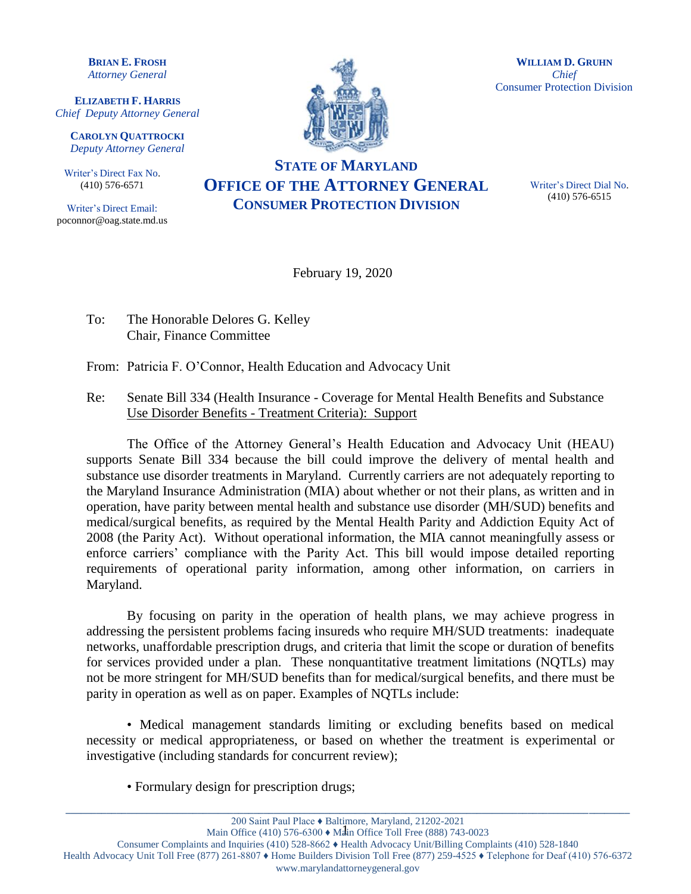**BRIAN E. FROSH** *Attorney General*

**ELIZABETH F. HARRIS** *Chief Deputy Attorney General*

**CAROLYN QUATTROCKI** *Deputy Attorney General*

Writer's Direct Fax No. (410) 576-6571

Writer's Direct Email: poconnor@oag.state.md.us



**WILLIAM D. GRUHN** *Chief* Consumer Protection Division

## **STATE OF MARYLAND OFFICE OF THE ATTORNEY GENERAL CONSUMER PROTECTION DIVISION**

Writer's Direct Dial No. (410) 576-6515

February 19, 2020

- To: The Honorable Delores G. Kelley Chair, Finance Committee
- From: Patricia F. O'Connor, Health Education and Advocacy Unit
- Re: Senate Bill 334 (Health Insurance Coverage for Mental Health Benefits and Substance Use Disorder Benefits - Treatment Criteria): Support

The Office of the Attorney General's Health Education and Advocacy Unit (HEAU) supports Senate Bill 334 because the bill could improve the delivery of mental health and substance use disorder treatments in Maryland. Currently carriers are not adequately reporting to the Maryland Insurance Administration (MIA) about whether or not their plans, as written and in operation, have parity between mental health and substance use disorder (MH/SUD) benefits and medical/surgical benefits, as required by the Mental Health Parity and Addiction Equity Act of 2008 (the Parity Act). Without operational information, the MIA cannot meaningfully assess or enforce carriers' compliance with the Parity Act. This bill would impose detailed reporting requirements of operational parity information, among other information, on carriers in Maryland.

By focusing on parity in the operation of health plans, we may achieve progress in addressing the persistent problems facing insureds who require MH/SUD treatments: inadequate networks, unaffordable prescription drugs, and criteria that limit the scope or duration of benefits for services provided under a plan. These nonquantitative treatment limitations (NQTLs) may not be more stringent for MH/SUD benefits than for medical/surgical benefits, and there must be parity in operation as well as on paper. Examples of NQTLs include:

• Medical management standards limiting or excluding benefits based on medical necessity or medical appropriateness, or based on whether the treatment is experimental or investigative (including standards for concurrent review);

• Formulary design for prescription drugs;